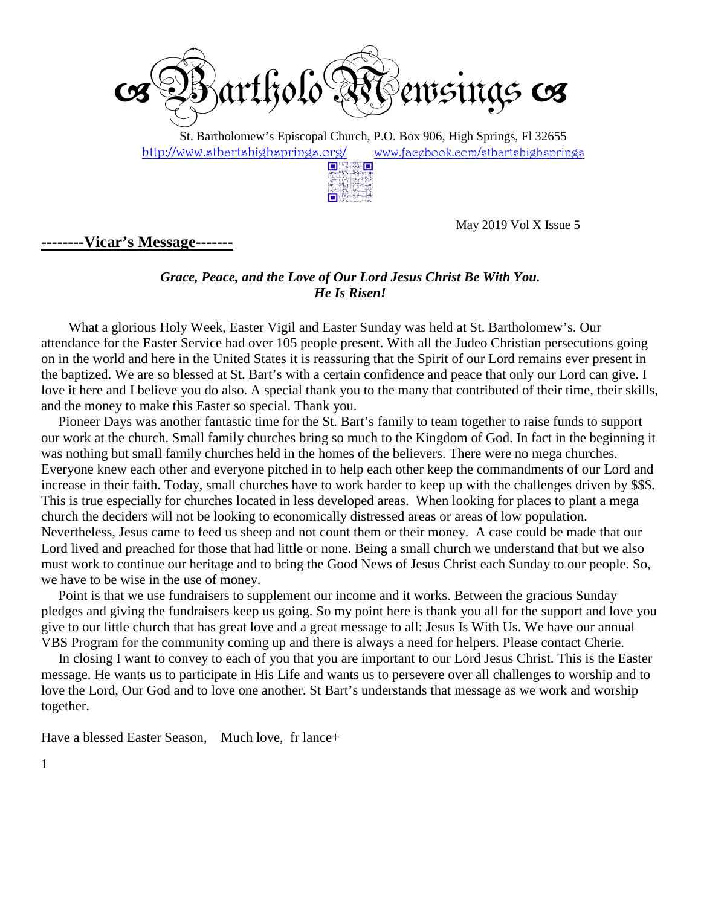

 St. Bartholomew's Episcopal Church, P.O. Box 906, High Springs, Fl 32655 http://www.stbartshighsprings.org/ www.facebook.com/stbartshighsprings



May 2019 Vol X Issue 5

#### **--------Vicar's Message-------**

#### *Grace, Peace, and the Love of Our Lord Jesus Christ Be With You. He Is Risen!*

What a glorious Holy Week, Easter Vigil and Easter Sunday was held at St. Bartholomew's. Our attendance for the Easter Service had over 105 people present. With all the Judeo Christian persecutions going on in the world and here in the United States it is reassuring that the Spirit of our Lord remains ever present in the baptized. We are so blessed at St. Bart's with a certain confidence and peace that only our Lord can give. I love it here and I believe you do also. A special thank you to the many that contributed of their time, their skills, and the money to make this Easter so special. Thank you.

 Pioneer Days was another fantastic time for the St. Bart's family to team together to raise funds to support our work at the church. Small family churches bring so much to the Kingdom of God. In fact in the beginning it was nothing but small family churches held in the homes of the believers. There were no mega churches. Everyone knew each other and everyone pitched in to help each other keep the commandments of our Lord and increase in their faith. Today, small churches have to work harder to keep up with the challenges driven by \$\$\$. This is true especially for churches located in less developed areas. When looking for places to plant a mega church the deciders will not be looking to economically distressed areas or areas of low population. Nevertheless, Jesus came to feed us sheep and not count them or their money. A case could be made that our Lord lived and preached for those that had little or none. Being a small church we understand that but we also must work to continue our heritage and to bring the Good News of Jesus Christ each Sunday to our people. So, we have to be wise in the use of money.

 Point is that we use fundraisers to supplement our income and it works. Between the gracious Sunday pledges and giving the fundraisers keep us going. So my point here is thank you all for the support and love you give to our little church that has great love and a great message to all: Jesus Is With Us. We have our annual VBS Program for the community coming up and there is always a need for helpers. Please contact Cherie.

 In closing I want to convey to each of you that you are important to our Lord Jesus Christ. This is the Easter message. He wants us to participate in His Life and wants us to persevere over all challenges to worship and to love the Lord, Our God and to love one another. St Bart's understands that message as we work and worship together.

Have a blessed Easter Season, Much love, fr lance+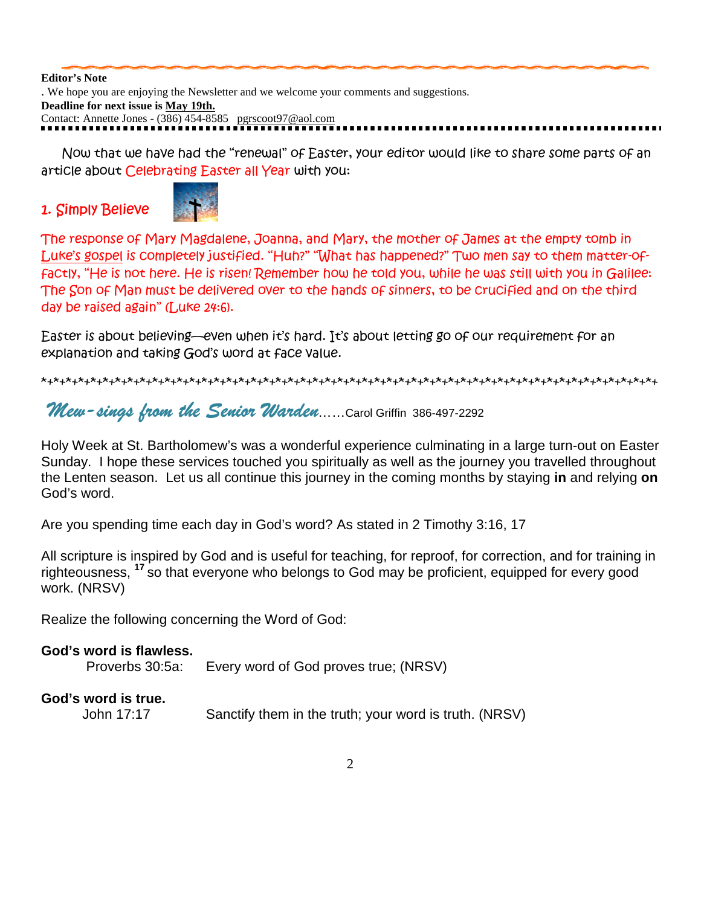**Editor's Note** . We hope you are enjoying the Newsletter and we welcome your comments and suggestions. **Deadline for next issue is May 19th.** Contact: Annette Jones - (386) 454-8585 pgrscoot97@aol.com

 *Now that we have had the "renewal" of Easter, your editor would like to share some parts of an article about Celebrating Easter all Year with you:* 

1. Simply Believe



*The response of Mary Magdalene, Joanna, and Mary, the mother of James at the empty tomb in Luke's gospel is completely justified. "Huh?" "What has happened?" Two men say to them matter-offactly, "He is not here. He is risen! Remember how he told you, while he was still with you in Galilee: The Son of Man must be delivered over to the hands of sinners, to be crucified and on the third day be raised again" (Luke 24:6).* 

*Easter is about believing—even when it's hard. It's about letting go of our requirement for an explanation and taking God's word at face value.* 

*\*+\*+\*+\*+\*+\*+\*+\*+\*+\*+\*+\*+\*+\*+\*+\*+\*+\*+\*+\*+\*+\*+\*+\*+\*+\*+\*+\*+\*+\*+\*+\*+\*+\*+\*+\*+\*+\*+\*+\*+\*+\*+\*+\*+\*+\*+\*+\*+\*+\*+* 

Mew-sings from the Senior Warden……Carol Griffin 386-497-2292

Holy Week at St. Bartholomew's was a wonderful experience culminating in a large turn-out on Easter Sunday. I hope these services touched you spiritually as well as the journey you travelled throughout the Lenten season. Let us all continue this journey in the coming months by staying **in** and relying **on** God's word.

Are you spending time each day in God's word? As stated in 2 Timothy 3:16, 17

All scripture is inspired by God and is useful for teaching, for reproof, for correction, and for training in righteousness, **<sup>17</sup>**so that everyone who belongs to God may be proficient, equipped for every good work. (NRSV)

Realize the following concerning the Word of God:

| God's word is flawless.<br>Proverbs 30:5a: | Every word of God proves true; (NRSV) |
|--------------------------------------------|---------------------------------------|
| God's word is true.                        |                                       |

John 17:17 Sanctify them in the truth; your word is truth. (NRSV)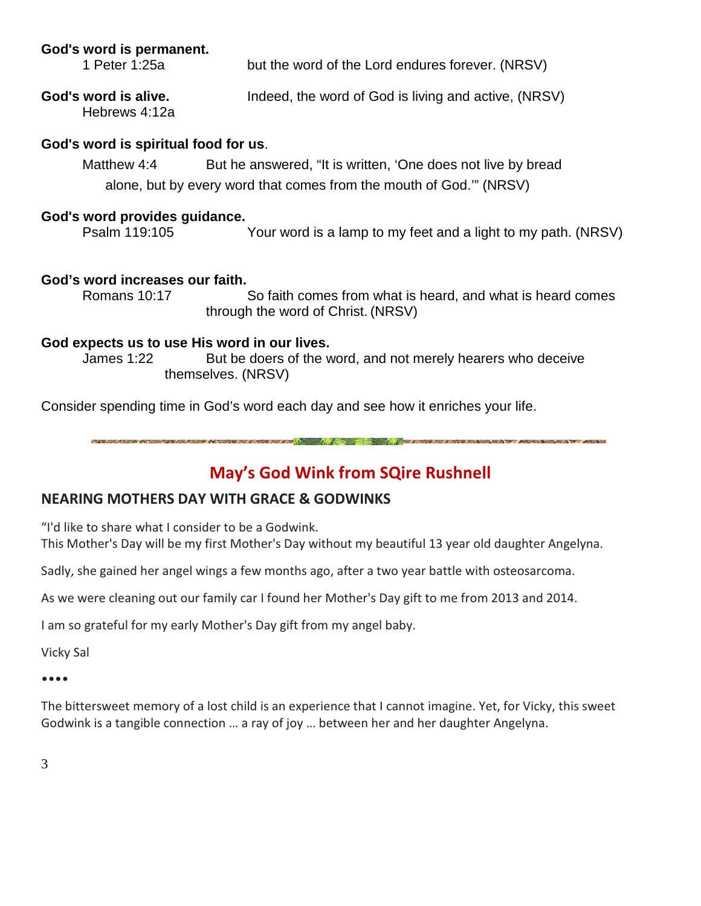#### **God's word is permanent.**

 1 Peter 1:25a but the word of the Lord endures forever. (NRSV) God's word is alive. **Indeed, the word of God is living and active, (NRSV)** Hebrews 4:12a

## **God's word is spiritual food for us**.

Matthew 4:4 But he answered, "It is written, 'One does not live by bread alone, but by every word that comes from the mouth of God.'" (NRSV)

### **God's word provides guidance.**

Psalm 119:105 Your word is a lamp to my feet and a light to my path. (NRSV)

#### **God's word increases our faith.**

 Romans 10:17 So faith comes from what is heard, and what is heard comes through the word of Christ. (NRSV)

#### **God expects us to use His word in our lives.**

 James 1:22 But be doers of the word, and not merely hearers who deceive themselves. (NRSV)

Consider spending time in God's word each day and see how it enriches your life.

terminal and the contract of the contract of the contract of the contract of the contract of the contract of the

## May's God Wink from SQire Rushnell

## NEARING MOTHERS DAY WITH GRACE & GODWINKS

"I'd like to share what I consider to be a Godwink. This Mother's Day will be my first Mother's Day without my beautiful 13 year old daughter Angelyna.

Sadly, she gained her angel wings a few months ago, after a two year battle with osteosarcoma.

As we were cleaning out our family car I found her Mother's Day gift to me from 2013 and 2014.

I am so grateful for my early Mother's Day gift from my angel baby.

Vicky Sal

••••

The bittersweet memory of a lost child is an experience that I cannot imagine. Yet, for Vicky, this sweet Godwink is a tangible connection … a ray of joy … between her and her daughter Angelyna.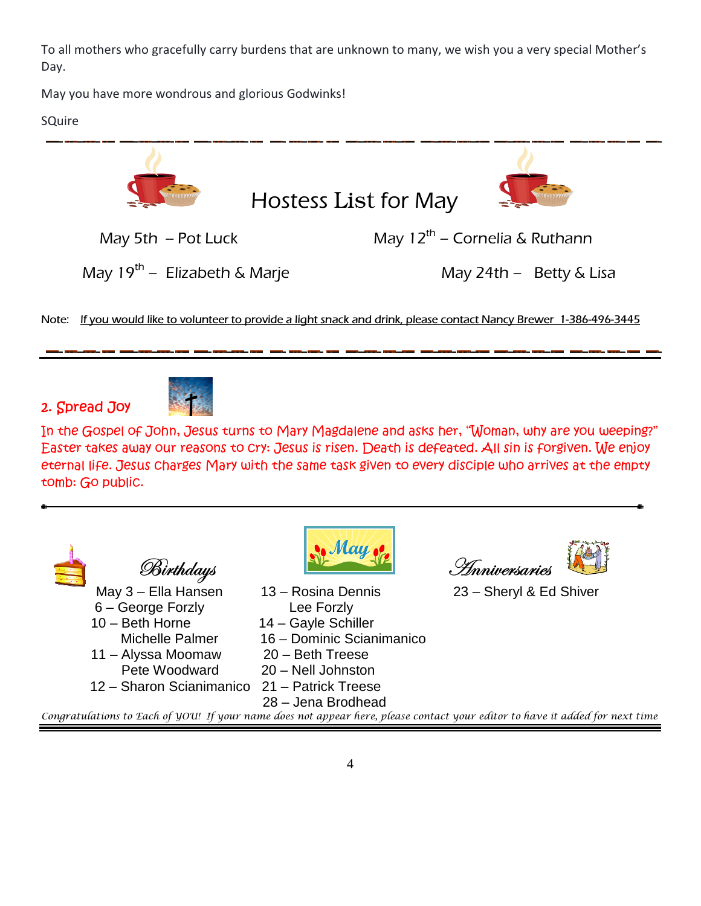To all mothers who gracefully carry burdens that are unknown to many, we wish you a very special Mother's Day.

May you have more wondrous and glorious Godwinks!

**SQuire** 



Note: If you would like to volunteer to provide a light snack and drink, please contact Nancy Brewer 1-386-496-3445

2. Spread Joy



*In the Gospel of John, Jesus turns to Mary Magdalene and asks her, "Woman, why are you weeping?" Easter takes away our reasons to cry: Jesus is risen. Death is defeated. All sin is forgiven. We enjoy eternal life. Jesus charges Mary with the same task given to every disciple who arrives at the empty tomb: Go public.* 

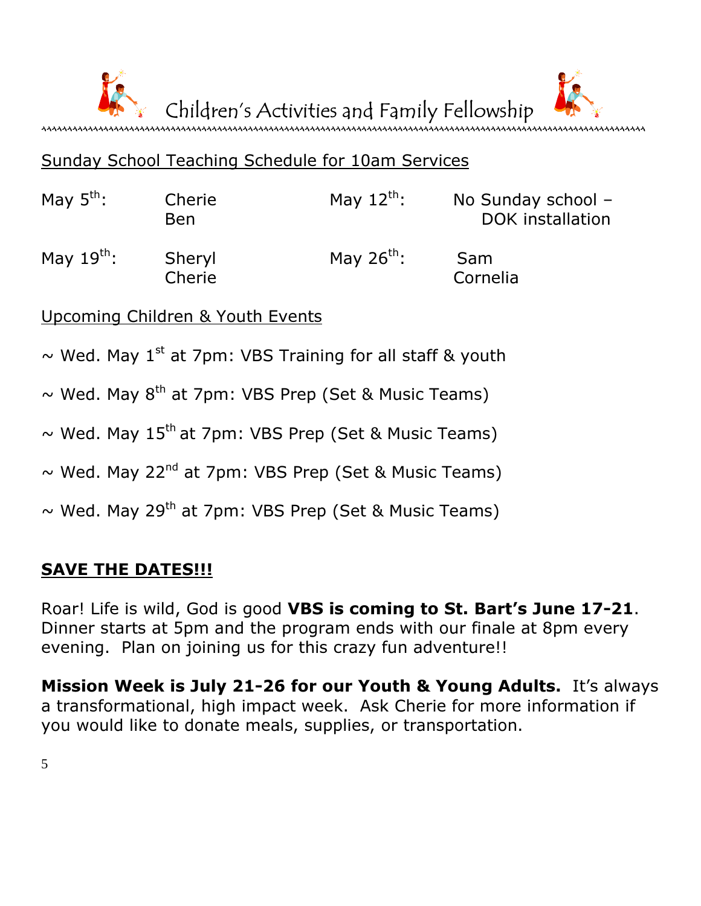

## Sunday School Teaching Schedule for 10am Services

| May $5^{\text{th}}$ : | Cherie<br><b>Ben</b> | May $12^{\text{th}}$ : | No Sunday school $-$<br>DOK installation |
|-----------------------|----------------------|------------------------|------------------------------------------|
| May $19^{th}$ :       | Sheryl<br>Cherie     | May $26^{th}$ :        | Sam<br>Cornelia                          |

Upcoming Children & Youth Events

- $\sim$  Wed. May 1<sup>st</sup> at 7pm: VBS Training for all staff & youth
- $\sim$  Wed. May 8<sup>th</sup> at 7pm: VBS Prep (Set & Music Teams)
- $\sim$  Wed. May 15<sup>th</sup> at 7pm: VBS Prep (Set & Music Teams)
- $\sim$  Wed. May 22<sup>nd</sup> at 7pm: VBS Prep (Set & Music Teams)
- $\sim$  Wed. May 29<sup>th</sup> at 7pm: VBS Prep (Set & Music Teams)

## SAVE THE DATES!!!

Roar! Life is wild, God is good VBS is coming to St. Bart's June 17-21. Dinner starts at 5pm and the program ends with our finale at 8pm every evening. Plan on joining us for this crazy fun adventure!!

Mission Week is July 21-26 for our Youth & Young Adults. It's always a transformational, high impact week. Ask Cherie for more information if you would like to donate meals, supplies, or transportation.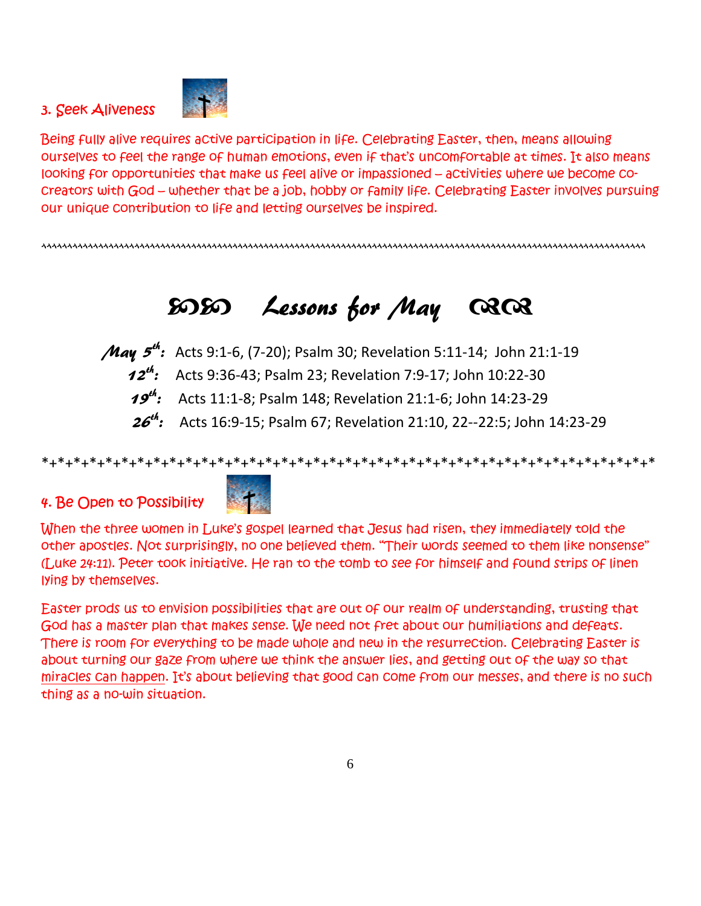#### 3. Seek Aliveness



*Being fully alive requires active participation in life. Celebrating Easter, then, means allowing ourselves to feel the range of human emotions, even if that's uncomfortable at times. It also means looking for opportunities that make us feel alive or impassioned – activities where we become cocreators with God – whether that be a job, hobby or family life. Celebrating Easter involves pursuing our unique contribution to life and letting ourselves be inspired.* 

^^^^^^^^^^^^^^^^^^^^^^^^^^^^^^^^^^^^^^^^^^^^^^^^^^^^^^^^^^^^^^^^^^^^^^^^^^^^^^^^^^^^^^^^^^^^^^^^^^^^^^^^^^^^^^^^^^^^^

# -- Lessons for May

*May 5<sup>th</sup>:* Acts 9:1-6, (7-20); Psalm 30; Revelation 5:11-14; John 21:1-19  $12^{th}$ : Acts 9:36-43; Psalm 23; Revelation 7:9-17; John 10:22-30 **19<sup>th</sup>:** Acts 11:1-8; Psalm 148; Revelation 21:1-6; John 14:23-29

> $26^{th}$ : : Acts 16:9-15; Psalm 67; Revelation 21:10, 22--22:5; John 14:23-29

\*+\*+\*+\*+\*+\*+\*+\*+\*+\*+\*+\*+\*+\*+\*+\*+\*+\*+\*+\*+\*+\*+\*+\*+\*+\*+\*+\*+\*+\*+\*+\*+\*+\*+\*+\*+\*+\*+\*

## 4. Be Open to Possibility



*When the three women in Luke's gospel learned that Jesus had risen, they immediately told the other apostles. Not surprisingly, no one believed them. "Their words seemed to them like nonsense" (Luke 24:11). Peter took initiative. He ran to the tomb to see for himself and found strips of linen lying by themselves.* 

*Easter prods us to envision possibilities that are out of our realm of understanding, trusting that God has a master plan that makes sense. We need not fret about our humiliations and defeats. There is room for everything to be made whole and new in the resurrection. Celebrating Easter is about turning our gaze from where we think the answer lies, and getting out of the way so that miracles can happen. It's about believing that good can come from our messes, and there is no such thing as a no-win situation.*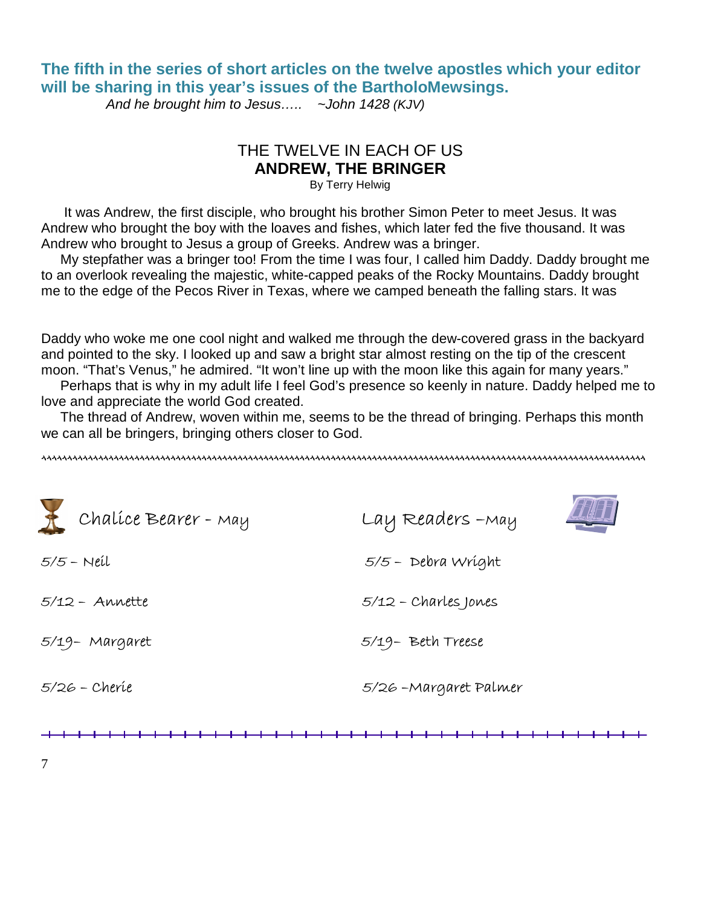## **The fifth in the series of short articles on the twelve apostles which your editor will be sharing in this year's issues of the BartholoMewsings.**

And he brought him to Jesus.....  $\sim$  John 1428 (KJV)

## THE TWELVE IN EACH OF US **ANDREW, THE BRINGER**

By Terry Helwig

 It was Andrew, the first disciple, who brought his brother Simon Peter to meet Jesus. It was Andrew who brought the boy with the loaves and fishes, which later fed the five thousand. It was Andrew who brought to Jesus a group of Greeks. Andrew was a bringer.

 My stepfather was a bringer too! From the time I was four, I called him Daddy. Daddy brought me to an overlook revealing the majestic, white-capped peaks of the Rocky Mountains. Daddy brought me to the edge of the Pecos River in Texas, where we camped beneath the falling stars. It was

Daddy who woke me one cool night and walked me through the dew-covered grass in the backyard and pointed to the sky. I looked up and saw a bright star almost resting on the tip of the crescent moon. "That's Venus," he admired. "It won't line up with the moon like this again for many years."

 Perhaps that is why in my adult life I feel God's presence so keenly in nature. Daddy helped me to love and appreciate the world God created.

 The thread of Andrew, woven within me, seems to be the thread of bringing. Perhaps this month we can all be bringers, bringing others closer to God.

^^^^^^^^^^^^^^^^^^^^^^^^^^^^^^^^^^^^^^^^^^^^^^^^^^^^^^^^^^^^^^^^^^^^^^^^^^^^^^^^^^^^^^^^^^^^^^^^^^^^^^^^^^^^^^^^^^^^^

| Chalice Bearer - May | Lay Readers - May      |
|----------------------|------------------------|
| $5/5$ – Neil         | $5/5$ - Debra Wright   |
| $5/12 - Annette$     | $5/12$ - Charles Jones |
| 5/19- Margaret       | 5/19- Beth Treese      |
| 5/26 - Cheríe        | 5/26 - Margaret Palmer |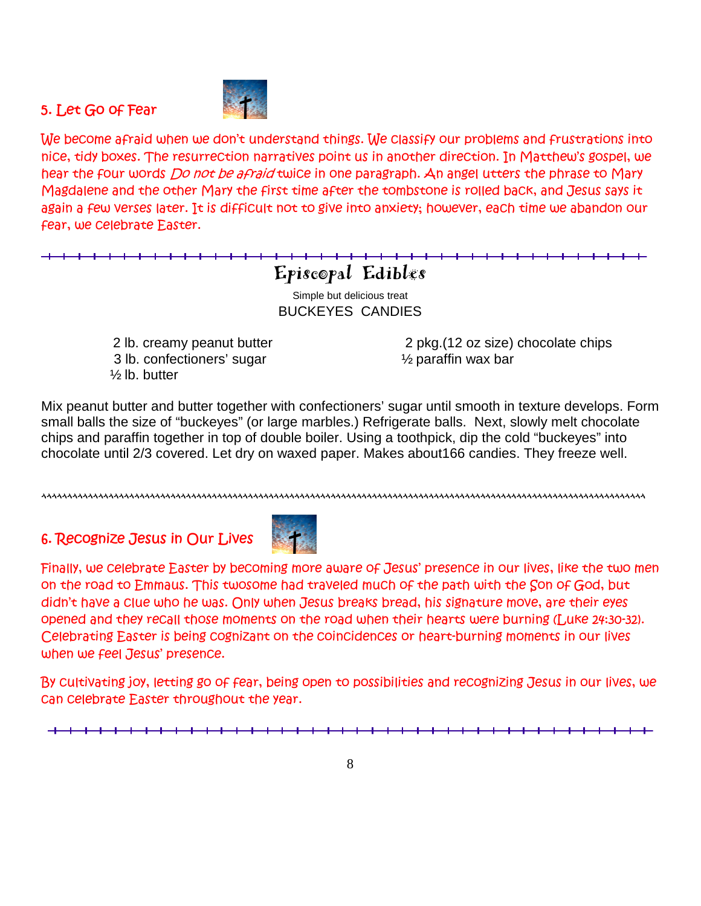## 5. Let Go of Fear



*We become afraid when we don't understand things. We classify our problems and frustrations into nice, tidy boxes. The resurrection narratives point us in another direction. In Matthew's gospel, we hear the four words* Do not be afraid *twice in one paragraph. An angel utters the phrase to Mary Magdalene and the other Mary the first time after the tombstone is rolled back, and Jesus says it again a few verses later. It is difficult not to give into anxiety; however, each time we abandon our fear, we celebrate Easter.* 

## Episcopal Edibles

Simple but delicious treat BUCKEYES CANDIES

 3 lb. confectioners' sugar ½ paraffin wax bar ½ lb. butter

2 lb. creamy peanut butter 2 pkg.(12 oz size) chocolate chips

Mix peanut butter and butter together with confectioners' sugar until smooth in texture develops. Form small balls the size of "buckeyes" (or large marbles.) Refrigerate balls. Next, slowly melt chocolate chips and paraffin together in top of double boiler. Using a toothpick, dip the cold "buckeyes" into chocolate until 2/3 covered. Let dry on waxed paper. Makes about166 candies. They freeze well.

^^^^^^^^^^^^^^^^^^^^^^^^^^^^^^^^^^^^^^^^^^^^^^^^^^^^^^^^^^^^^^^^^^^^^^^^^^^^^^^^^^^^^^^^^^^^^^^^^^^^^^^^^^^^^^^^^^^^^

6. Recognize Jesus in Our Lives



*Finally, we celebrate Easter by becoming more aware of Jesus' presence in our lives, like the two men on the road to Emmaus. This twosome had traveled much of the path with the Son of God, but didn't have a clue who he was. Only when Jesus breaks bread, his signature move, are their eyes opened and they recall those moments on the road when their hearts were burning (Luke 24:30-32). Celebrating Easter is being cognizant on the coincidences or heart-burning moments in our lives when we feel Jesus' presence.* 

*By cultivating joy, letting go of fear, being open to possibilities and recognizing Jesus in our lives, we can celebrate Easter throughout the year.*